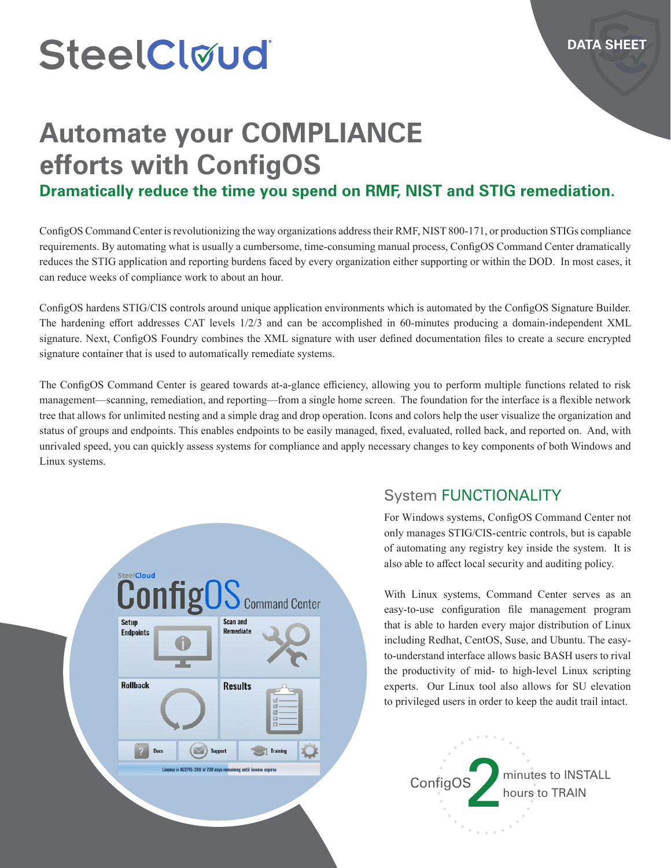# SteelCløud

## **Automate your COMPLIANCE efforts with ConfigOS**

#### **Dramatically reduce the time you spend on RMF, NIST and STIG remediation.**

ConfigOS Command Center is revolutionizing the way organizations address their RMF, NIST 800-171, or production STIGs compliance requirements. By automating what is usually a cumbersome, time-consuming manual process, ConfigOS Command Center dramatically reduces the STIG application and reporting burdens faced by every organization either supporting or within the DOD. In most cases, it can reduce weeks of compliance work to about an hour.

ConfigOS hardens STIG/CIS controls around unique application environments which is automated by the ConfigOS Signature Builder. The hardening effort addresses CAT levels 1/2/3 and can be accomplished in 60-minutes producing a domain-independent XML signature. Next, ConfigOS Foundry combines the XML signature with user defined documentation files to create a secure encrypted signature container that is used to automatically remediate systems.

The ConfigOS Command Center is geared towards at-a-glance efficiency, allowing you to perform multiple functions related to risk management—scanning, remediation, and reporting—from a single home screen. The foundation for the interface is a flexible network tree that allows for unlimited nesting and a simple drag and drop operation. Icons and colors help the user visualize the organization and status of groups and endpoints. This enables endpoints to be easily managed, fixed, evaluated, rolled back, and reported on. And, with unrivaled speed, you can quickly assess systems for compliance and apply necessary changes to key components of both Windows and Linux systems.



#### System FUNCTIONALITY

For Windows systems, ConfigOS Command Center not only manages STIG/CIS-centric controls, but is capable of automating any registry key inside the system. It is also able to affect local security and auditing policy.

With Linux systems, Command Center serves as an easy-to-use configuration file management program that is able to harden every major distribution of Linux including Redhat, CentOS, Suse, and Ubuntu. The easyto-understand interface allows basic BASH users to rival the productivity of mid- to high-level Linux scripting experts. Our Linux tool also allows for SU elevation to privileged users in order to keep the audit trail intact.